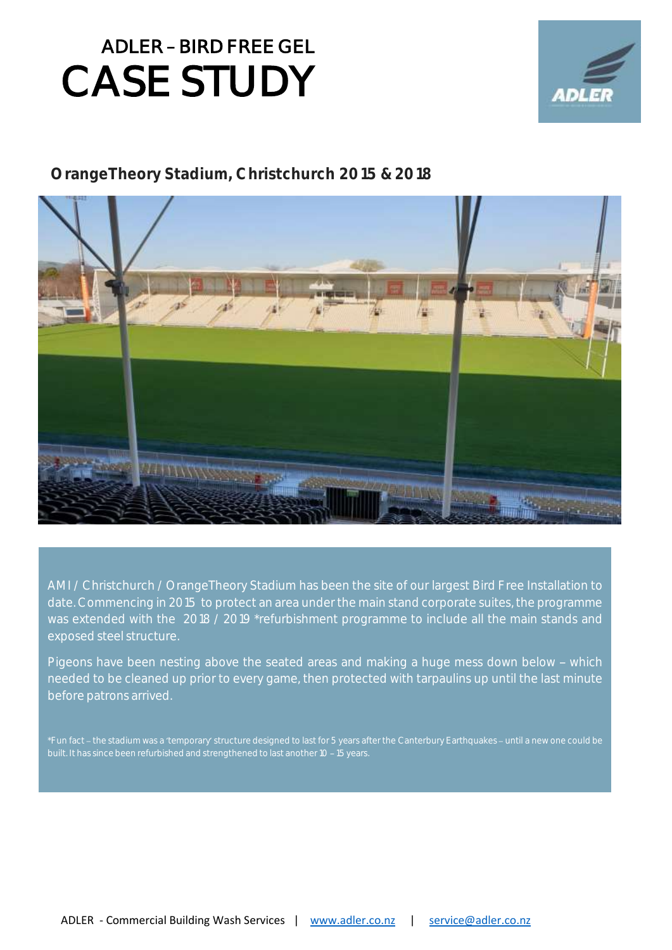

#### **OrangeTheory Stadium, Christchurch 2015 & 2018**



AMI / Christchurch / OrangeTheory Stadium has been the site of our largest Bird Free Installation to date. Commencing in 2015 to protect an area under the main stand corporate suites, the programme was extended with the 2018 / 2019 \*refurbishment programme to include all the main stands and exposed steel structure.

Pigeons have been nesting above the seated areas and making a huge mess down below - which needed to be cleaned up prior to every game, then protected with tarpaulins up until the last minute before patrons arrived.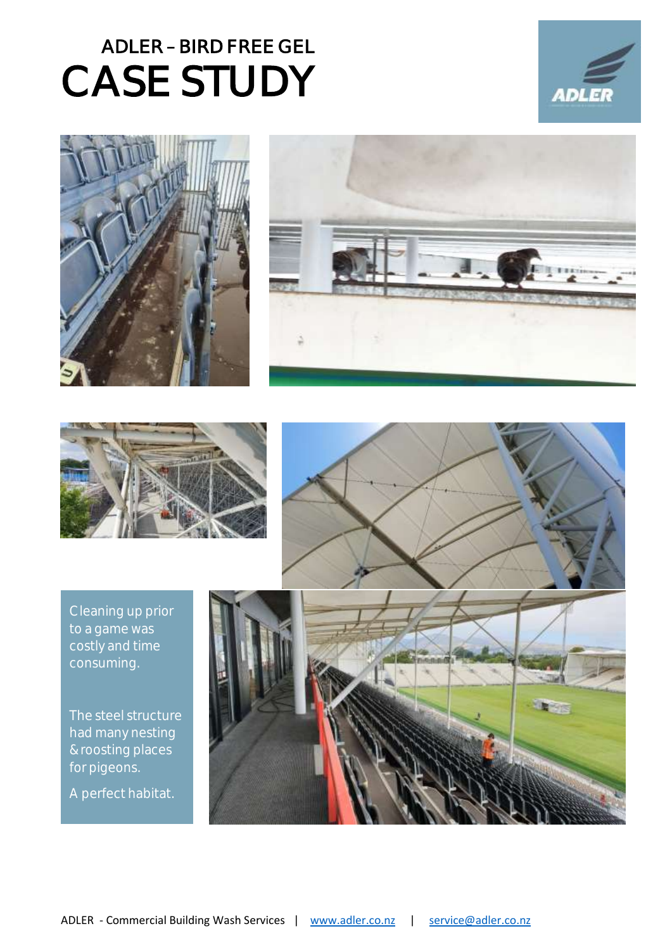







Cleaning up prior to a game was costly and time consuming.

The steel structure had many nesting & roosting places for pigeons.

A perfect habitat.

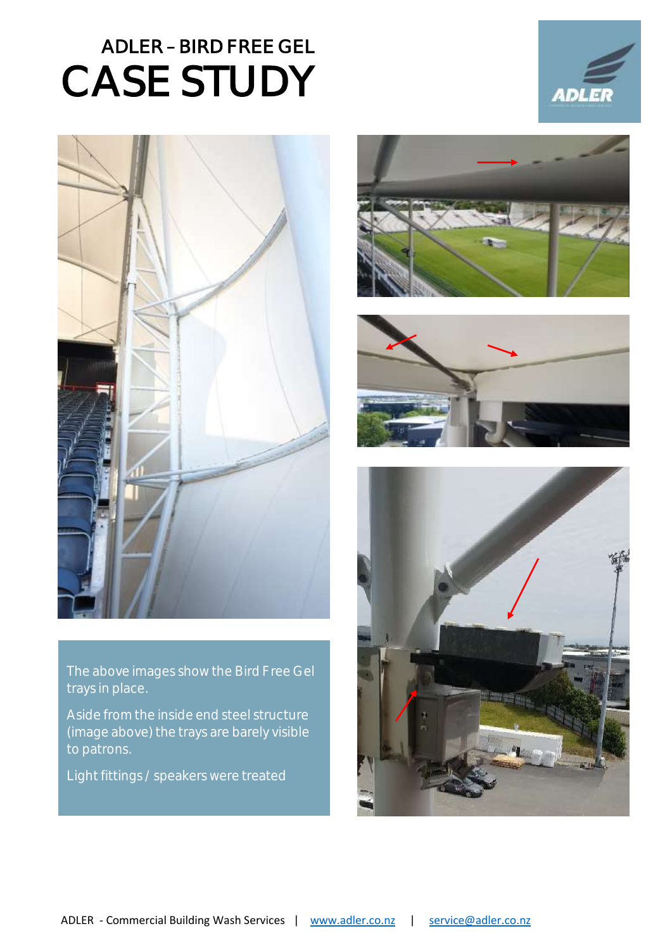

The above images show the Bird Free Gel trays in place.

Aside from the inside end steel structure (image above) the trays are barely visible to patrons.

Light fittings / speakers were treated



**ADL**